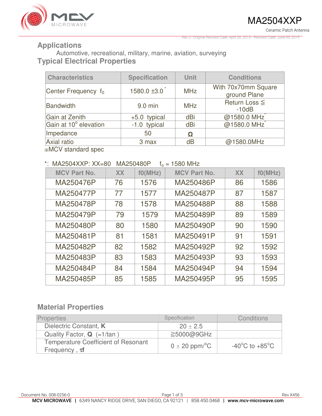

Rev 2–Original Revision Date: April 30, 2013 –Revision Date: June 09, 2015

#### **Applications**

Automotive, recreational, military, marine, aviation, surveying **Typical Electrical Properties** 

| <b>Characteristics</b> | <b>Specification</b> | <b>Unit</b> | <b>Conditions</b>                   |
|------------------------|----------------------|-------------|-------------------------------------|
| Center Frequency $f_0$ | $1580.0 \pm 3.0$     | <b>MHz</b>  | With 70x70mm Square<br>ground Plane |
| Bandwidth              | 9.0 min              | <b>MHz</b>  | Return Loss ≦<br>$-10dB$            |
| Gain at Zenith         | $+5.0$ typical       | dBi         | @1580.0 MHz                         |
| Gain at 10° elevation  | -1.0 typical         | dBi         | @1580.0 MHz                         |
| Impedance              | 50                   | Ω           |                                     |
| Axial ratio            | 3 max                | dB          | @1580.0MHz                          |

※MCV standard spec

#### \*: MA2504XXP:  $XX=80$  MA250480P  $f_0 = 1580$  MHz

| $1111$ LEUU 17 V VI . 7 V V – UU<br>– די וויט טיסט |           |         |                     |           |         |  |
|----------------------------------------------------|-----------|---------|---------------------|-----------|---------|--|
| <b>MCV Part No.</b>                                | <b>XX</b> | f0(MHz) | <b>MCV Part No.</b> | <b>XX</b> | f0(MHz) |  |
| MA250476P                                          | 76        | 1576    | MA250486P           | 86        | 1586    |  |
| MA250477P                                          | 77        | 1577    | MA250487P           | 87        | 1587    |  |
| MA250478P                                          | 78        | 1578    | MA250488P           | 88        | 1588    |  |
| MA250479P                                          | 79        | 1579    | MA250489P           | 89        | 1589    |  |
| MA250480P                                          | 80        | 1580    | MA250490P           | 90        | 1590    |  |
| MA250481P                                          | 81        | 1581    | MA250491P           | 91        | 1591    |  |
| MA250482P                                          | 82        | 1582    | MA250492P           | 92        | 1592    |  |
| MA250483P                                          | 83        | 1583    | MA250493P           | 93        | 1593    |  |
| MA250484P                                          | 84        | 1584    | MA250494P           | 94        | 1594    |  |
| MA250485P                                          | 85        | 1585    | MA250495P           | 95        | 1595    |  |

## **Material Properties**

| <b>Properties</b>                                                 | Specification                  | Conditions                         |
|-------------------------------------------------------------------|--------------------------------|------------------------------------|
| Dielectric Constant, K                                            | $20 \pm 2.5$                   |                                    |
| Quality Factor, $Q$ (=1/tan)                                      | $\geq$ 5000@9GHz               |                                    |
| <b>Temperature Coefficient of Resonant</b><br>Frequency, $\tau f$ | $0 \pm 20$ ppm/ <sup>o</sup> C | $-40^{\circ}$ C to $+85^{\circ}$ C |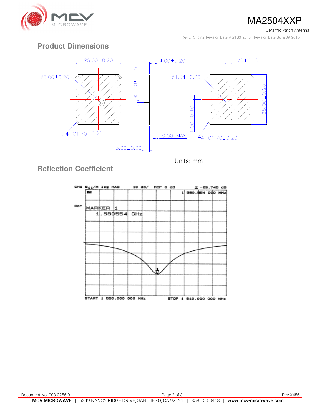

MA2504XXP

Ceramic Patch Antenna

Rev 2–Original Revision Date: April 30, 2013 –Revision Date: June 09, 2015

# **Product Dimensions**



Units: mm

# **Reflection Coefficient**